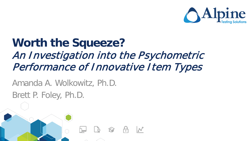

### **Worth the Squeeze?**  An Investigation into the Psychometric Performance of Innovative Item Types

Amanda A. Wolkowitz, Ph.D. Brett P. Foley, Ph.D.

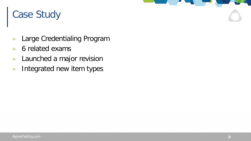#### Case Study

- » Large Credentialing Program
- » 6 related exams
- » Launched a major revision
- » Integrated new item types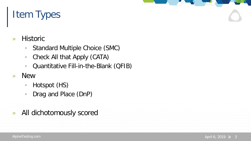### Item Types

- » Historic
	- Standard Multiple Choice (SMC)
	- Check All that Apply (CATA)
	- Quantitative Fill-in-the-Blank (QFIB)
- » New
	- Hotspot (HS)
	- Drag and Place (DnP)
- » All dichotomously scored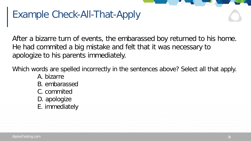### Example Check-All-That-Apply

After a bizarre turn of events, the embarassed boy returned to his home. He had commited a big mistake and felt that it was necessary to apologize to his parents immediately.

Which words are spelled incorrectly in the sentences above? Select all that apply.

- A. bizarre
- B. embarassed
- C. commited
- D. apologize
- E. immediately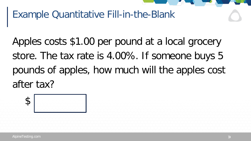#### Example Quantitative Fill-in-the-Blank

Apples costs \$1.00 per pound at a local grocery store. The tax rate is 4.00%. If someone buys 5 pounds of apples, how much will the apples cost after tax?

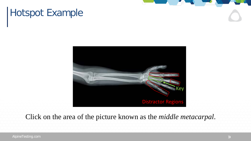### Hotspot Example



Click on the area of the picture known as the *middle metacarpal*.

AlpineTesting.com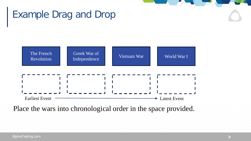#### AlpineTesting.com

#### Example Drag and Drop



Place the wars into chronological order in the space provided.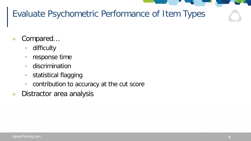#### Evaluate Psychometric Performance of Item Types

- » Compared…
	- difficulty
	- response time
	- discrimination
	- statistical flagging
	- contribution to accuracy at the cut score
- » Distractor area analysis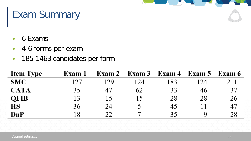#### Exam Summary

- » 6 Exams
- » 4-6 forms per exam
- » 185-1463 candidates per form

| <b>Item Type</b> | Exam 1 |     | Exam 2 Exam 3 Exam 4 |     | Exam 5 Exam 6 |     |
|------------------|--------|-----|----------------------|-----|---------------|-----|
| <b>SMC</b>       | 127    | 129 | 124                  | 183 | -24           | 211 |
| <b>CATA</b>      | 35     | 47  | 62                   | 33  | 46            | 37  |
| <b>OFIB</b>      | 13     |     |                      | 28  | 28            | 26  |
| <b>HS</b>        | 36     | 24  |                      | 45  |               | 47  |
| <b>DnP</b>       |        | 22  |                      | 35  |               | 28  |

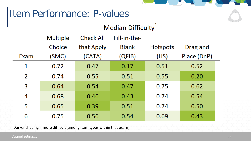### Item Performance: P-values

| Median Difficulty |
|-------------------|

|      | <b>Multiple</b> | <b>Check All</b> | Fill-in-the- |                 |             |
|------|-----------------|------------------|--------------|-----------------|-------------|
|      | Choice          | that Apply       | <b>Blank</b> | <b>Hotspots</b> | Drag and    |
| Exam | (SMC)           | (CATA)           | (QFIB)       | (HS)            | Place (DnP) |
| 1    | 0.72            | 0.47             | 0.17         | 0.51            | 0.52        |
| 2    | 0.74            | 0.55             | 0.51         | 0.55            | 0.20        |
| 3    | 0.64            | 0.54             | 0.47         | 0.75            | 0.62        |
| 4    | 0.68            | 0.46             | 0.43         | 0.74            | 0.54        |
| 5    | 0.65            | 0.39             | 0.51         | 0.74            | 0.50        |
| 6    | 0.75            | 0.56             | 0.54         | 0.69            | 0.43        |

 $1$ Darker shading = more difficult (among item types within that exam)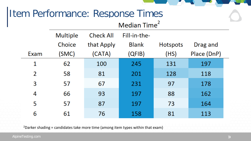## Item Performance: Response Times

#### Median Time<sup>2</sup>

|      | <b>Multiple</b> | <b>Check All</b> | Fill-in-the- |                 |             |  |
|------|-----------------|------------------|--------------|-----------------|-------------|--|
|      | Choice          | that Apply       | <b>Blank</b> | <b>Hotspots</b> | Drag and    |  |
| Exam | (SMC)           | (CATA)           | (QFIB)       | (HS)            | Place (DnP) |  |
| 1    | 62              | 100              | 245          | 131             | 197         |  |
| 2    | 58              | 81               | 201          | 128             | 118         |  |
| 3    | 57              | 67               | 231          | 97              | 178         |  |
| 4    | 66              | 93               | 197          | 88              | 162         |  |
| 5    | 57              | 87               | 197          | 73              | 164         |  |
| 6    | 61              | 76               | 158          | 81              | 113         |  |

<sup>2</sup>Darker shading = candidates take more time (among item types within that exam)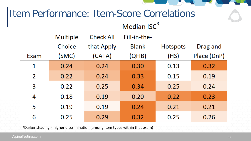## Item Performance: Item-Score Correlations

#### Median ISC<sup>3</sup>

|      | <b>Multiple</b> | <b>Check All</b> | Fill-in-the- |                 |             |
|------|-----------------|------------------|--------------|-----------------|-------------|
|      | Choice          | that Apply       | <b>Blank</b> | <b>Hotspots</b> | Drag and    |
| Exam | (SMC)           | (CATA)           | (QFIB)       | (HS)            | Place (DnP) |
| 1    | 0.24            | 0.24             | 0.30         | 0.13            | 0.32        |
| 2    | 0.22            | 0.24             | 0.33         | 0.15            | 0.19        |
| 3    | 0.22            | 0.25             | 0.34         | 0.25            | 0.24        |
| 4    | 0.18            | 0.19             | 0.20         | 0.22            | 0.23        |
| 5    | 0.19            | 0.19             | 0.24         | 0.21            | 0.21        |
| 6    | 0.25            | 0.29             | 0.32         | 0.25            | 0.26        |

3Darker shading = higher discrimination (among item types within that exam)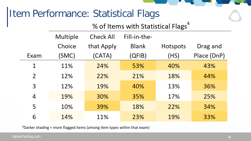### Item Performance: Statistical Flags

#### % of Items with Statistical Flags<sup>4</sup>

|      | <b>Multiple</b> | <b>Check All</b> | Fill-in-the- |                 |             |
|------|-----------------|------------------|--------------|-----------------|-------------|
|      | Choice          | that Apply       | <b>Blank</b> | <b>Hotspots</b> | Drag and    |
| Exam | (SMC)           | (CATA)           | (QFIB)       | (HS)            | Place (DnP) |
| 1    | 11%             | 24%              | 53%          | 40%             | 43%         |
| 2    | 12%             | 22%              | 21%          | 18%             | 44%         |
| 3    | 12%             | 19%              | 40%          | 13%             | 36%         |
| 4    | 19%             | 30%              | 35%          | 17%             | 25%         |
| 5    | 10%             | 39%              | 18%          | 22%             | 34%         |
| 6    | 14%             | 11%              | 23%          | 19%             | 33%         |

4Darker shading = more flagged items (among item types within that exam)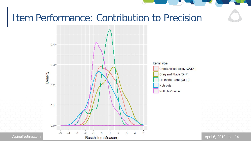#### Item Performance: Contribution to Precision



April 6, 2019 >> 14

AlpineTesting.com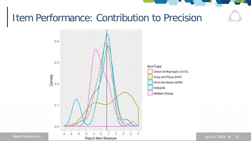#### Item Performance: Contribution to Precision



AlpineTesting.com

April 6, 2019  $\cancel{)}$  15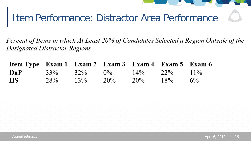

Percent of Items in which At Least 20% of Candidates Selected a Region Outside of the **Designated Distractor Regions** 

| Item Type Exam 1 Exam 2 Exam 3 Exam 4 Exam 5 Exam 6 |        |        |       |        |     |        |
|-----------------------------------------------------|--------|--------|-------|--------|-----|--------|
| DnP                                                 | $33\%$ | $32\%$ | $0\%$ | $14\%$ | 22% | $11\%$ |
| <b>HS</b>                                           | 28%    | $13\%$ | 20%   | $20\%$ | 18% | $6\%$  |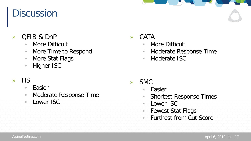#### **Discussion**

#### » QFIB & DnP

- More Difficult
- More Time to Respond
- More Stat Flags
- Higher ISC

#### » HS

- Easier
- Moderate Response Time
- Lower ISC

#### » CATA

- More Difficult
- Moderate Response Time
- Moderate ISC

- » SMC
	- Easier
		- Shortest Response Times
	- Lower ISC
	- Fewest Stat Flags
	- Furthest from Cut Score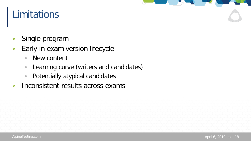#### Limitations

- » Single program
- » Early in exam version lifecycle
	- New content
	- Learning curve (writers and candidates)
	- Potentially atypical candidates
- » Inconsistent results across exams